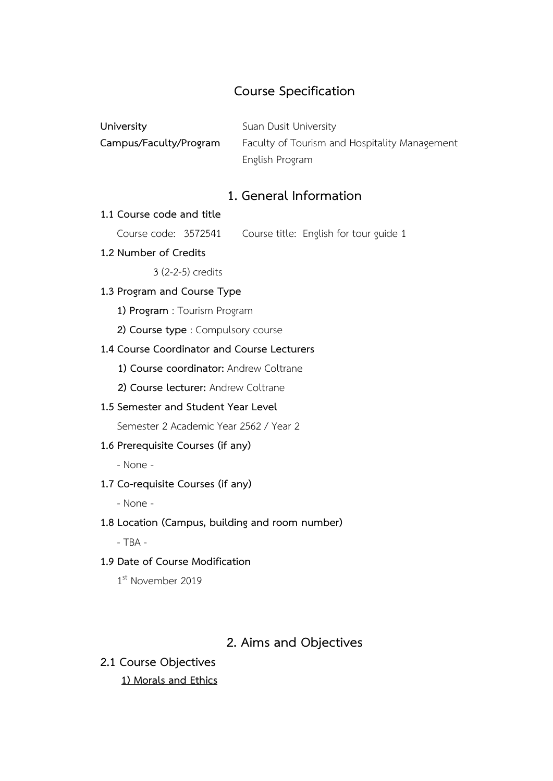# **Course Specification**

| University             | Suan Dusit University                         |
|------------------------|-----------------------------------------------|
| Campus/Faculty/Program | Faculty of Tourism and Hospitality Management |
|                        | English Program                               |

# **1. General Information**

#### **1.1 Course code and title**

Course code: 3572541 Course title: English for tour guide 1

**1.2 Number of Credits**

3 (2-2-5) credits

## **1.3 Program and Course Type**

**1) Program** : Tourism Program

**2) Course type** : Compulsory course

#### **1.4 Course Coordinator and Course Lecturers**

**1) Course coordinator:** Andrew Coltrane

- **2) Course lecturer:** Andrew Coltrane
- **1.5 Semester and Student Year Level**

Semester 2 Academic Year 2562 / Year 2

### **1.6 Prerequisite Courses (if any)**

- None -

### **1.7 Co-requisite Courses (if any)**

- None -

### **1.8 Location (Campus, building and room number)**

- TBA -

### **1.9 Date of Course Modification**

1st November 2019

# **2. Aims and Objectives**

**2.1 Course Objectives**

### **1) Morals and Ethics**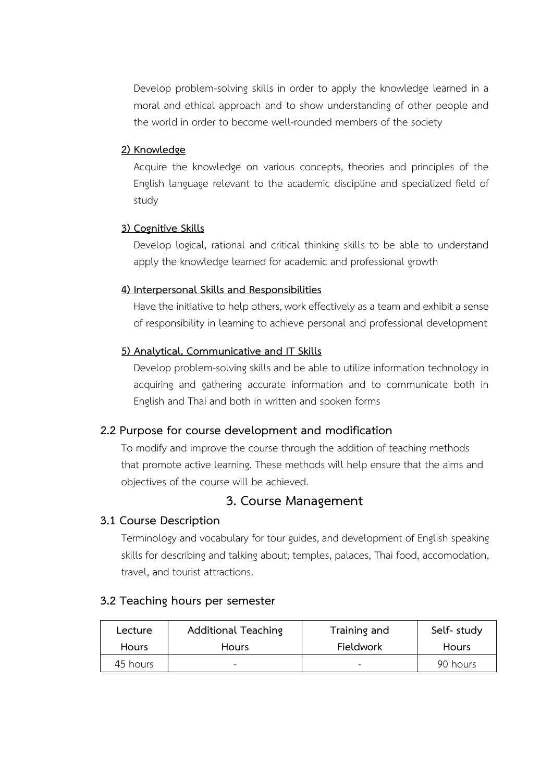Develop problem-solving skills in order to apply the knowledge learned in a moral and ethical approach and to show understanding of other people and the world in order to become well-rounded members of the society

### **2) Knowledge**

Acquire the knowledge on various concepts, theories and principles of the English language relevant to the academic discipline and specialized field of study

### **3) Cognitive Skills**

Develop logical, rational and critical thinking skills to be able to understand apply the knowledge learned for academic and professional growth

### **4) Interpersonal Skills and Responsibilities**

Have the initiative to help others, work effectively as a team and exhibit a sense of responsibility in learning to achieve personal and professional development

### **5) Analytical, Communicative and IT Skills**

Develop problem-solving skills and be able to utilize information technology in acquiring and gathering accurate information and to communicate both in English and Thai and both in written and spoken forms

# **2.2 Purpose for course development and modification**

To modify and improve the course through the addition of teaching methods that promote active learning. These methods will help ensure that the aims and objectives of the course will be achieved.

# **3. Course Management**

### **3.1 Course Description**

Terminology and vocabulary for tour guides, and development of English speaking skills for describing and talking about; temples, palaces, Thai food, accomodation, travel, and tourist attractions.

### **3.2 Teaching hours per semester**

| Lecture      | <b>Additional Teaching</b> | Training and     | Self- study  |
|--------------|----------------------------|------------------|--------------|
| <b>Hours</b> | <b>Hours</b>               | <b>Fieldwork</b> | <b>Hours</b> |
| 45 hours     | $\overline{\phantom{a}}$   |                  | 90 hours     |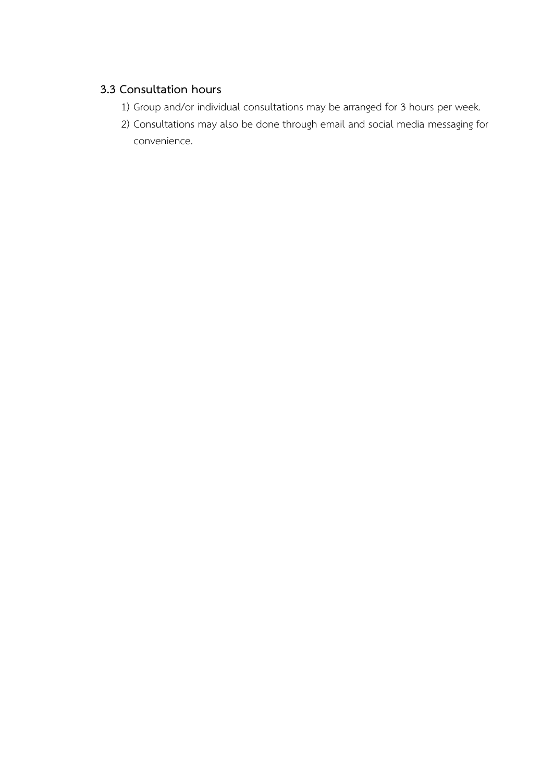# **3.3 Consultation hours**

- 1) Group and/or individual consultations may be arranged for 3 hours per week.
- 2) Consultations may also be done through email and social media messaging for convenience.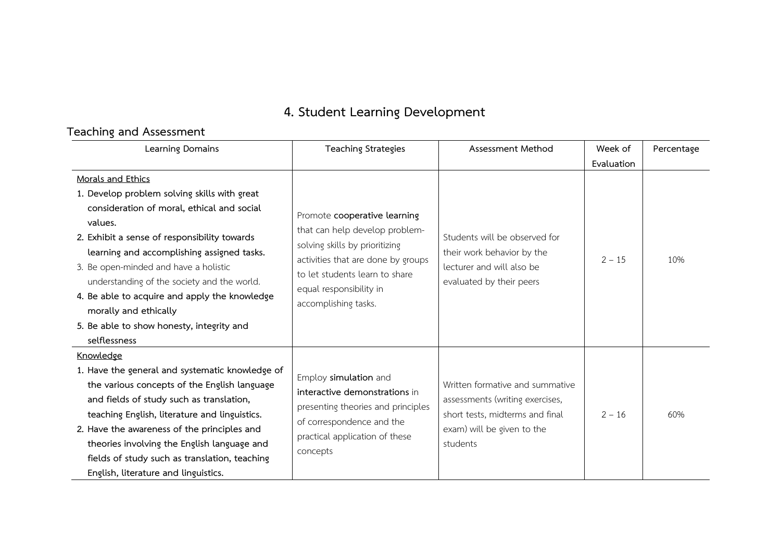# **4. Student Learning Development**

# **Teaching and Assessment**

| Learning Domains                                                                                                                                                                                                                                                                                                                                                                    | <b>Teaching Strategies</b>                                                                                                                                              | Assessment Method                                                                                                                               | Week of    | Percentage |
|-------------------------------------------------------------------------------------------------------------------------------------------------------------------------------------------------------------------------------------------------------------------------------------------------------------------------------------------------------------------------------------|-------------------------------------------------------------------------------------------------------------------------------------------------------------------------|-------------------------------------------------------------------------------------------------------------------------------------------------|------------|------------|
|                                                                                                                                                                                                                                                                                                                                                                                     |                                                                                                                                                                         |                                                                                                                                                 | Evaluation |            |
| Morals and Ethics<br>1. Develop problem solving skills with great<br>consideration of moral, ethical and social<br>values.<br>2. Exhibit a sense of responsibility towards                                                                                                                                                                                                          | Promote cooperative learning<br>that can help develop problem-<br>solving skills by prioritizing                                                                        | Students will be observed for                                                                                                                   |            |            |
| learning and accomplishing assigned tasks.<br>3. Be open-minded and have a holistic<br>understanding of the society and the world.<br>4. Be able to acquire and apply the knowledge<br>morally and ethically<br>5. Be able to show honesty, integrity and<br>selflessness                                                                                                           | activities that are done by groups<br>to let students learn to share<br>equal responsibility in<br>accomplishing tasks.                                                 | their work behavior by the<br>lecturer and will also be<br>evaluated by their peers                                                             | $2 - 15$   | 10%        |
| Knowledge                                                                                                                                                                                                                                                                                                                                                                           |                                                                                                                                                                         |                                                                                                                                                 |            |            |
| 1. Have the general and systematic knowledge of<br>the various concepts of the English language<br>and fields of study such as translation,<br>teaching English, literature and linguistics.<br>2. Have the awareness of the principles and<br>theories involving the English language and<br>fields of study such as translation, teaching<br>English, literature and linguistics. | Employ simulation and<br>interactive demonstrations in<br>presenting theories and principles<br>of correspondence and the<br>practical application of these<br>concepts | Written formative and summative<br>assessments (writing exercises,<br>short tests, midterms and final<br>exam) will be given to the<br>students | $2 - 16$   | 60%        |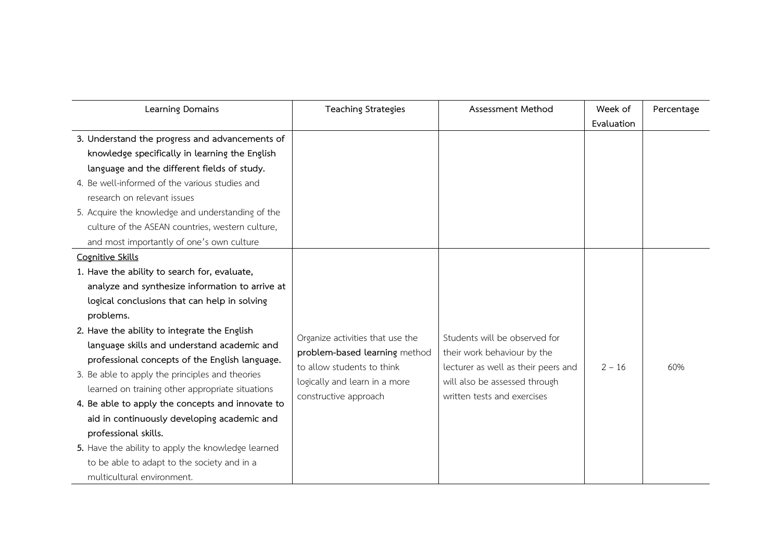| Learning Domains                                   | <b>Teaching Strategies</b>       | Assessment Method                   | Week of    | Percentage |
|----------------------------------------------------|----------------------------------|-------------------------------------|------------|------------|
|                                                    |                                  |                                     | Evaluation |            |
| 3. Understand the progress and advancements of     |                                  |                                     |            |            |
| knowledge specifically in learning the English     |                                  |                                     |            |            |
| language and the different fields of study.        |                                  |                                     |            |            |
| 4. Be well-informed of the various studies and     |                                  |                                     |            |            |
| research on relevant issues                        |                                  |                                     |            |            |
| 5. Acquire the knowledge and understanding of the  |                                  |                                     |            |            |
| culture of the ASEAN countries, western culture,   |                                  |                                     |            |            |
| and most importantly of one's own culture          |                                  |                                     |            |            |
| Cognitive Skills                                   |                                  |                                     |            |            |
| 1. Have the ability to search for, evaluate,       |                                  |                                     |            |            |
| analyze and synthesize information to arrive at    |                                  |                                     |            |            |
| logical conclusions that can help in solving       |                                  |                                     |            |            |
| problems.                                          |                                  |                                     |            |            |
| 2. Have the ability to integrate the English       | Organize activities that use the | Students will be observed for       |            |            |
| language skills and understand academic and        | problem-based learning method    | their work behaviour by the         |            |            |
| professional concepts of the English language.     | to allow students to think       | lecturer as well as their peers and | $2 - 16$   | 60%        |
| 3. Be able to apply the principles and theories    | logically and learn in a more    | will also be assessed through       |            |            |
| learned on training other appropriate situations   | constructive approach            | written tests and exercises         |            |            |
| 4. Be able to apply the concepts and innovate to   |                                  |                                     |            |            |
| aid in continuously developing academic and        |                                  |                                     |            |            |
| professional skills.                               |                                  |                                     |            |            |
| 5. Have the ability to apply the knowledge learned |                                  |                                     |            |            |
| to be able to adapt to the society and in a        |                                  |                                     |            |            |
| multicultural environment.                         |                                  |                                     |            |            |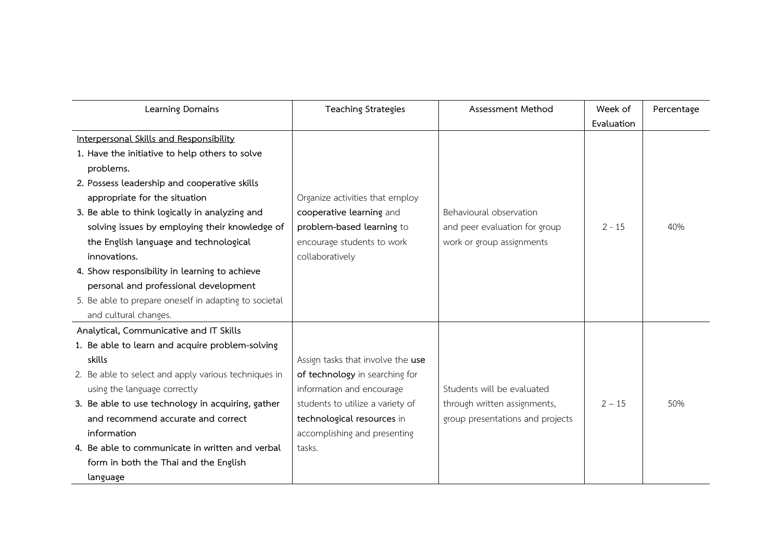| Learning Domains                                      | <b>Teaching Strategies</b>        | Assessment Method                | Week of    | Percentage |
|-------------------------------------------------------|-----------------------------------|----------------------------------|------------|------------|
|                                                       |                                   |                                  | Evaluation |            |
| Interpersonal Skills and Responsibility               |                                   |                                  |            |            |
| 1. Have the initiative to help others to solve        |                                   |                                  |            |            |
| problems.                                             |                                   |                                  |            |            |
| 2. Possess leadership and cooperative skills          |                                   |                                  |            |            |
| appropriate for the situation                         | Organize activities that employ   |                                  |            |            |
| 3. Be able to think logically in analyzing and        | cooperative learning and          | Behavioural observation          |            |            |
| solving issues by employing their knowledge of        | problem-based learning to         | and peer evaluation for group    | $2 - 15$   | 40%        |
| the English language and technological                | encourage students to work        | work or group assignments        |            |            |
| innovations.                                          | collaboratively                   |                                  |            |            |
| 4. Show responsibility in learning to achieve         |                                   |                                  |            |            |
| personal and professional development                 |                                   |                                  |            |            |
| 5. Be able to prepare oneself in adapting to societal |                                   |                                  |            |            |
| and cultural changes.                                 |                                   |                                  |            |            |
| Analytical, Communicative and IT Skills               |                                   |                                  |            |            |
| 1. Be able to learn and acquire problem-solving       |                                   |                                  |            |            |
| skills                                                | Assign tasks that involve the use |                                  |            |            |
| 2. Be able to select and apply various techniques in  | of technology in searching for    |                                  |            |            |
| using the language correctly                          | information and encourage         | Students will be evaluated       |            |            |
| 3. Be able to use technology in acquiring, gather     | students to utilize a variety of  | through written assignments,     | $2 - 15$   | 50%        |
| and recommend accurate and correct                    | technological resources in        | group presentations and projects |            |            |
| information                                           | accomplishing and presenting      |                                  |            |            |
| 4. Be able to communicate in written and verbal       | tasks.                            |                                  |            |            |
| form in both the Thai and the English                 |                                   |                                  |            |            |
| language                                              |                                   |                                  |            |            |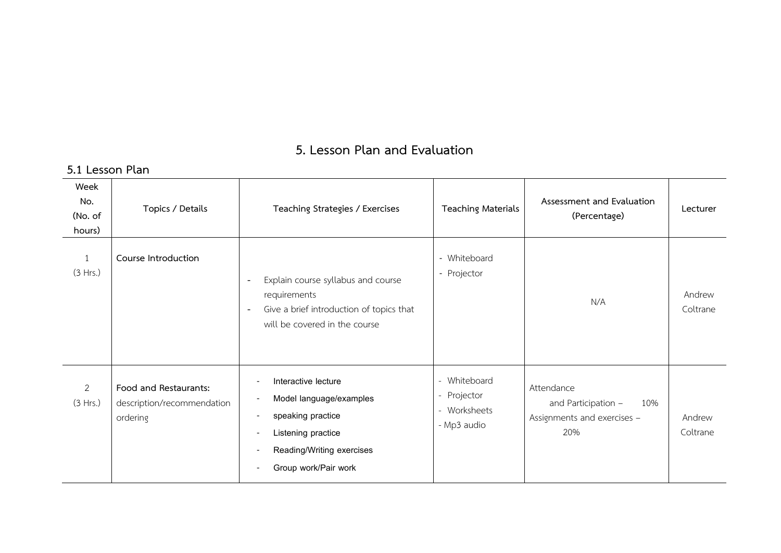# **5. Lesson Plan and Evaluation**

#### **5.1 Lesson Plan Week No. (No. of hours) Topics / Details Teaching Strategies / Exercises Teaching Materials Assessment and Evaluation (Percentage) Lecturer** 1 (3 Hrs.) **Course Introduction -** Explain course syllabus and course requirements **-** Give a brief introduction of topics that will be covered in the course - Whiteboard - Projector N/A Andrew Coltrane 2 (3 Hrs.) **Food and Restaurants:** description/recommendation ordering - Interactive lecture - Model language/examples - speaking practice - Listening practice - Reading/Writing exercises - Group work/Pair work - Whiteboard - Projector - Worksheets - Mp3 audio Attendance and Participation – 10% Assignments and exercises – 20% Andrew Coltrane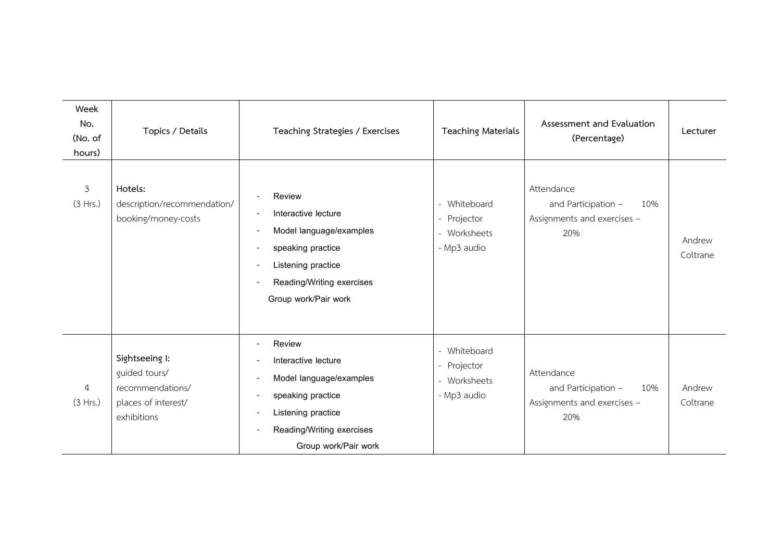| Week<br>No.<br>(No. of<br>hours) | Topics / Details                                                                          | Teaching Strategies / Exercises                                                                                                                          | <b>Teaching Materials</b>                                                            | Assessment and Evaluation<br>(Percentage)                                      | Lecturer           |
|----------------------------------|-------------------------------------------------------------------------------------------|----------------------------------------------------------------------------------------------------------------------------------------------------------|--------------------------------------------------------------------------------------|--------------------------------------------------------------------------------|--------------------|
| $\mathfrak{Z}$<br>(3 Hrs.)       | Hotels:<br>description/recommendation/<br>booking/money-costs                             | Review<br>Interactive lecture<br>Model language/examples<br>speaking practice<br>Listening practice<br>Reading/Writing exercises<br>Group work/Pair work | Whiteboard<br>$\overline{\phantom{a}}$<br>- Projector<br>- Worksheets<br>- Mp3 audio | Attendance<br>10%<br>and Participation -<br>Assignments and exercises -<br>20% | Andrew<br>Coltrane |
| 4<br>(3 Hrs.)                    | Sightseeing I:<br>guided tours/<br>recommendations/<br>places of interest/<br>exhibitions | Review<br>Interactive lecture<br>Model language/examples<br>speaking practice<br>Listening practice<br>Reading/Writing exercises<br>Group work/Pair work | Whiteboard<br>Projector<br>$\overline{\phantom{a}}$<br>- Worksheets<br>- Mp3 audio   | Attendance<br>and Participation -<br>10%<br>Assignments and exercises -<br>20% | Andrew<br>Coltrane |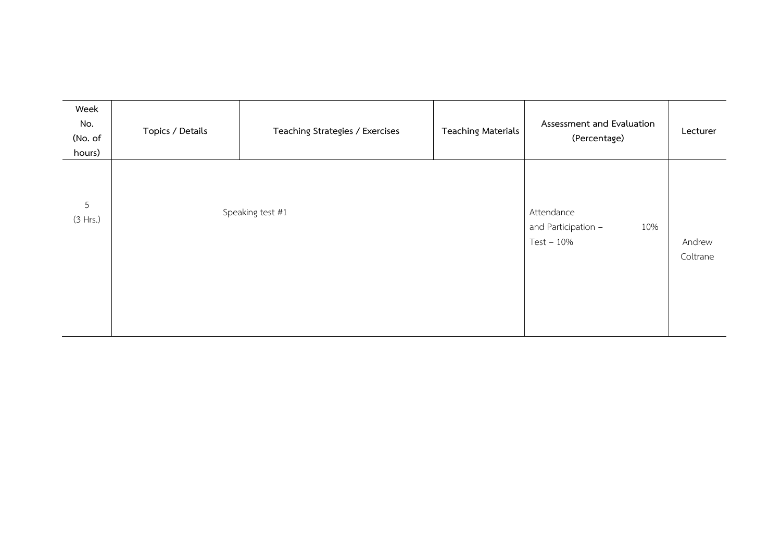| Week<br>No.<br>(No. of<br>hours) | Topics / Details | Teaching Strategies / Exercises | <b>Teaching Materials</b> | Assessment and Evaluation<br>(Percentage)                | Lecturer           |
|----------------------------------|------------------|---------------------------------|---------------------------|----------------------------------------------------------|--------------------|
| 5<br>(3 Hrs.)                    |                  | Speaking test #1                |                           | Attendance<br>and Participation -<br>10%<br>$Test - 10%$ | Andrew<br>Coltrane |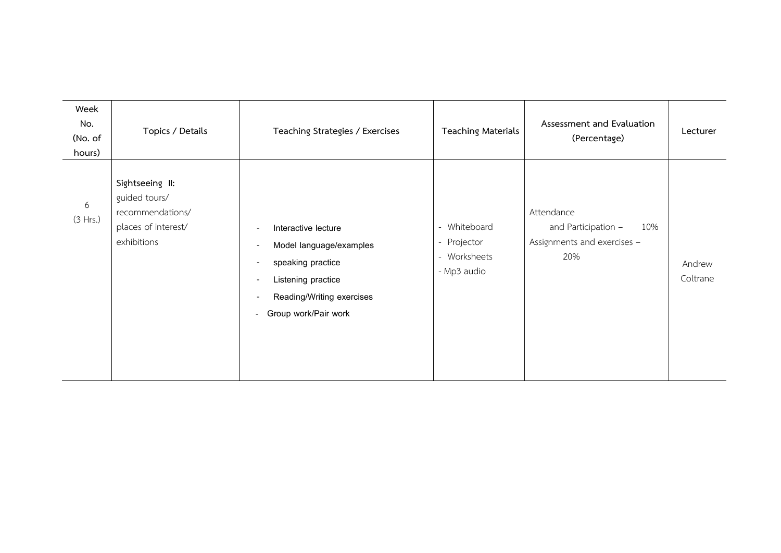| Week<br>No.<br>(No. of<br>hours) | Topics / Details                                                                           | Teaching Strategies / Exercises                                                                                                                                                                                                                                                                              | <b>Teaching Materials</b>                                                            | Assessment and Evaluation<br>(Percentage)                                      | Lecturer           |
|----------------------------------|--------------------------------------------------------------------------------------------|--------------------------------------------------------------------------------------------------------------------------------------------------------------------------------------------------------------------------------------------------------------------------------------------------------------|--------------------------------------------------------------------------------------|--------------------------------------------------------------------------------|--------------------|
| 6<br>(3 Hrs.)                    | Sightseeing II:<br>guided tours/<br>recommendations/<br>places of interest/<br>exhibitions | Interactive lecture<br>$\overline{\phantom{a}}$<br>Model language/examples<br>$\overline{\phantom{a}}$<br>speaking practice<br>$\overline{\phantom{a}}$<br>Listening practice<br>$\overline{\phantom{a}}$<br>Reading/Writing exercises<br>$\overline{\phantom{a}}$<br>Group work/Pair work<br>$\blacksquare$ | Whiteboard<br>$\overline{\phantom{0}}$<br>- Projector<br>- Worksheets<br>- Mp3 audio | Attendance<br>and Participation -<br>10%<br>Assignments and exercises -<br>20% | Andrew<br>Coltrane |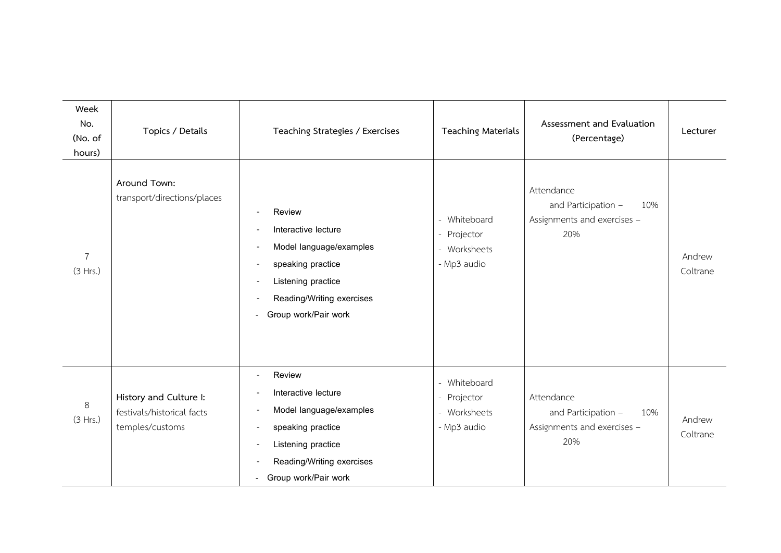| Week<br>No.<br>(No. of<br>hours) | Topics / Details                                                        | Teaching Strategies / Exercises                                                                                                                                                        | <b>Teaching Materials</b>                                         | Assessment and Evaluation<br>(Percentage)                                      | Lecturer           |
|----------------------------------|-------------------------------------------------------------------------|----------------------------------------------------------------------------------------------------------------------------------------------------------------------------------------|-------------------------------------------------------------------|--------------------------------------------------------------------------------|--------------------|
| $\overline{7}$<br>(3 Hrs.)       | Around Town:<br>transport/directions/places                             | Review<br>Interactive lecture<br>Model language/examples<br>speaking practice<br>Listening practice<br>Reading/Writing exercises<br>Group work/Pair work<br>н.                         | - Whiteboard<br>Projector<br>$ \,$<br>- Worksheets<br>- Mp3 audio | Attendance<br>and Participation -<br>10%<br>Assignments and exercises -<br>20% | Andrew<br>Coltrane |
| 8<br>(3 Hrs.)                    | History and Culture I:<br>festivals/historical facts<br>temples/customs | Review<br>Interactive lecture<br>Model language/examples<br>$\overline{\phantom{a}}$<br>speaking practice<br>Listening practice<br>Reading/Writing exercises<br>- Group work/Pair work | - Whiteboard<br>Projector<br>- Worksheets<br>- Mp3 audio          | Attendance<br>and Participation -<br>10%<br>Assignments and exercises -<br>20% | Andrew<br>Coltrane |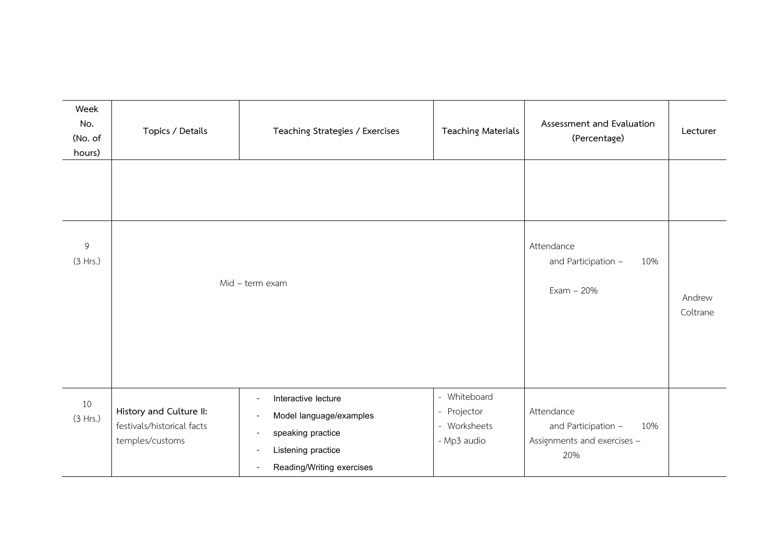| Week<br>No.<br>(No. of<br>hours) | Topics / Details                                                         | Teaching Strategies / Exercises                                                                                                                                      | <b>Teaching Materials</b>                                  | Assessment and Evaluation<br>(Percentage)                                      | Lecturer           |
|----------------------------------|--------------------------------------------------------------------------|----------------------------------------------------------------------------------------------------------------------------------------------------------------------|------------------------------------------------------------|--------------------------------------------------------------------------------|--------------------|
|                                  |                                                                          |                                                                                                                                                                      |                                                            |                                                                                |                    |
| 9<br>(3 Hrs.)                    | Mid - term exam                                                          |                                                                                                                                                                      |                                                            | Attendance<br>and Participation -<br>10%<br>$Exam - 20%$                       | Andrew<br>Coltrane |
| 10<br>(3 Hrs.)                   | History and Culture II:<br>festivals/historical facts<br>temples/customs | Interactive lecture<br>$\overline{\phantom{0}}$<br>Model language/examples<br>$\overline{a}$<br>speaking practice<br>Listening practice<br>Reading/Writing exercises | - Whiteboard<br>- Projector<br>- Worksheets<br>- Mp3 audio | Attendance<br>and Participation -<br>10%<br>Assignments and exercises -<br>20% |                    |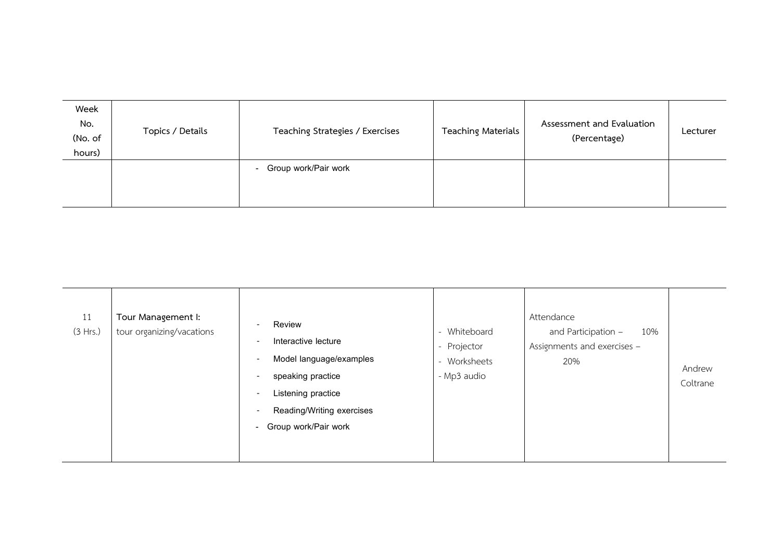| Week<br>No.<br>(No. of | Topics / Details | Teaching Strategies / Exercises | Teaching Materials | Assessment and Evaluation<br>(Percentage) | Lecturer |
|------------------------|------------------|---------------------------------|--------------------|-------------------------------------------|----------|
| hours)                 |                  |                                 |                    |                                           |          |
|                        |                  | Group work/Pair work<br>$\sim$  |                    |                                           |          |
|                        |                  |                                 |                    |                                           |          |
|                        |                  |                                 |                    |                                           |          |

| 11<br>(3 Hrs.) | Tour Management I:<br>tour organizing/vacations | Review<br>$\overline{\phantom{a}}$<br>Interactive lecture<br>$\overline{\phantom{a}}$<br>Model language/examples<br>$\overline{\phantom{a}}$<br>speaking practice<br>$\overline{\phantom{a}}$<br>Listening practice<br>$\overline{\phantom{a}}$<br>Reading/Writing exercises<br>$\overline{\phantom{a}}$<br>Group work/Pair work<br>$\sim$ | - Whiteboard<br>- Projector<br>- Worksheets<br>- Mp3 audio | Attendance<br>and Participation -<br>10%<br>Assignments and exercises -<br>20% | Andrew<br>Coltrane |
|----------------|-------------------------------------------------|--------------------------------------------------------------------------------------------------------------------------------------------------------------------------------------------------------------------------------------------------------------------------------------------------------------------------------------------|------------------------------------------------------------|--------------------------------------------------------------------------------|--------------------|
|----------------|-------------------------------------------------|--------------------------------------------------------------------------------------------------------------------------------------------------------------------------------------------------------------------------------------------------------------------------------------------------------------------------------------------|------------------------------------------------------------|--------------------------------------------------------------------------------|--------------------|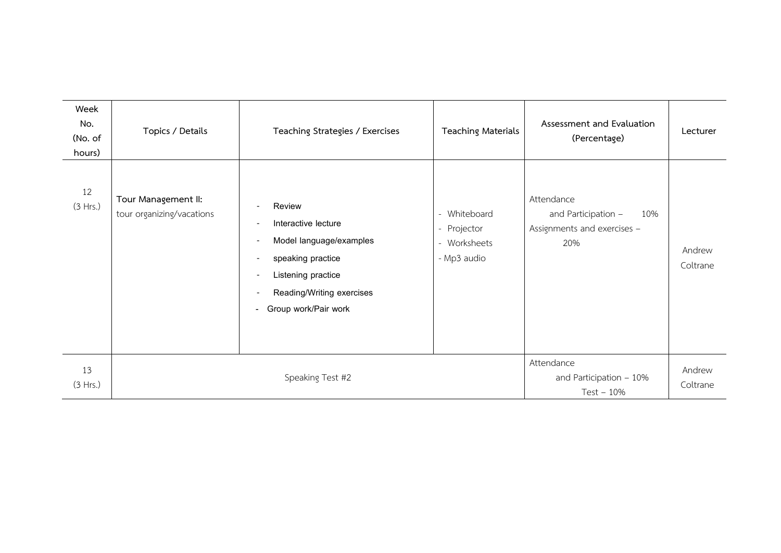| Week<br>No.<br>(No. of<br>hours) | Topics / Details                                 | Teaching Strategies / Exercises                                                                                                                                                                                                                                                                                        | <b>Teaching Materials</b>                                  | Assessment and Evaluation<br>(Percentage)                                      | Lecturer           |
|----------------------------------|--------------------------------------------------|------------------------------------------------------------------------------------------------------------------------------------------------------------------------------------------------------------------------------------------------------------------------------------------------------------------------|------------------------------------------------------------|--------------------------------------------------------------------------------|--------------------|
| 12<br>(3 Hrs.)                   | Tour Management II:<br>tour organizing/vacations | Review<br>$\overline{\phantom{a}}$<br>Interactive lecture<br>Model language/examples<br>$\overline{\phantom{a}}$<br>speaking practice<br>$\overline{\phantom{a}}$<br>Listening practice<br>$\overline{\phantom{a}}$<br>Reading/Writing exercises<br>$\overline{\phantom{a}}$<br>Group work/Pair work<br>$\blacksquare$ | - Whiteboard<br>- Projector<br>- Worksheets<br>- Mp3 audio | Attendance<br>and Participation -<br>10%<br>Assignments and exercises -<br>20% | Andrew<br>Coltrane |
| 13<br>(3 Hrs.)                   |                                                  | Speaking Test #2                                                                                                                                                                                                                                                                                                       |                                                            | Attendance<br>and Participation - 10%<br>$Test - 10%$                          | Andrew<br>Coltrane |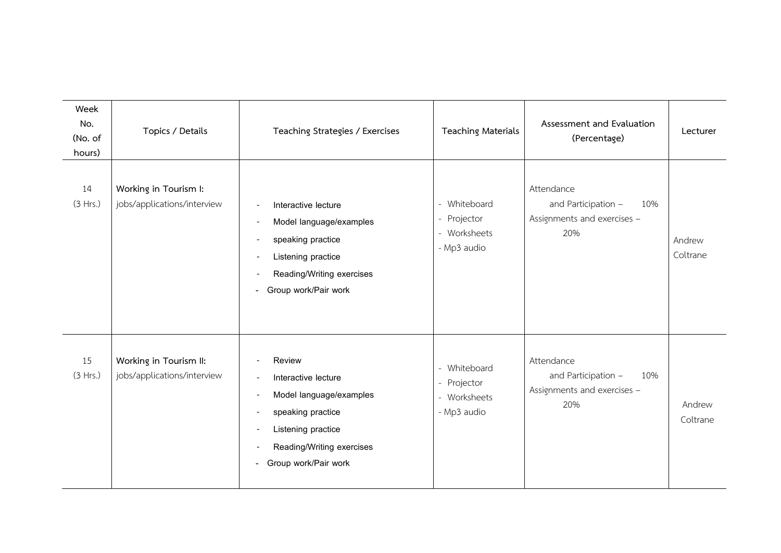| Week<br>No.<br>(No. of<br>hours) | Topics / Details                                      | Teaching Strategies / Exercises                                                                                                                                            | <b>Teaching Materials</b>                                        | Assessment and Evaluation<br>(Percentage)                                      | Lecturer           |
|----------------------------------|-------------------------------------------------------|----------------------------------------------------------------------------------------------------------------------------------------------------------------------------|------------------------------------------------------------------|--------------------------------------------------------------------------------|--------------------|
| 14<br>(3 Hrs.)                   | Working in Tourism I:<br>jobs/applications/interview  | Interactive lecture<br>Model language/examples<br>speaking practice<br>Listening practice<br>Reading/Writing exercises<br>Group work/Pair work                             | - Whiteboard<br>- Projector<br>- Worksheets<br>- Mp3 audio       | Attendance<br>and Participation -<br>10%<br>Assignments and exercises -<br>20% | Andrew<br>Coltrane |
| 15<br>(3 Hrs.)                   | Working in Tourism II:<br>jobs/applications/interview | Review<br>Interactive lecture<br>Model language/examples<br>speaking practice<br>Listening practice<br>Reading/Writing exercises<br>Group work/Pair work<br>$\blacksquare$ | Whiteboard<br>Projector<br>$\sim$<br>- Worksheets<br>- Mp3 audio | Attendance<br>and Participation -<br>10%<br>Assignments and exercises -<br>20% | Andrew<br>Coltrane |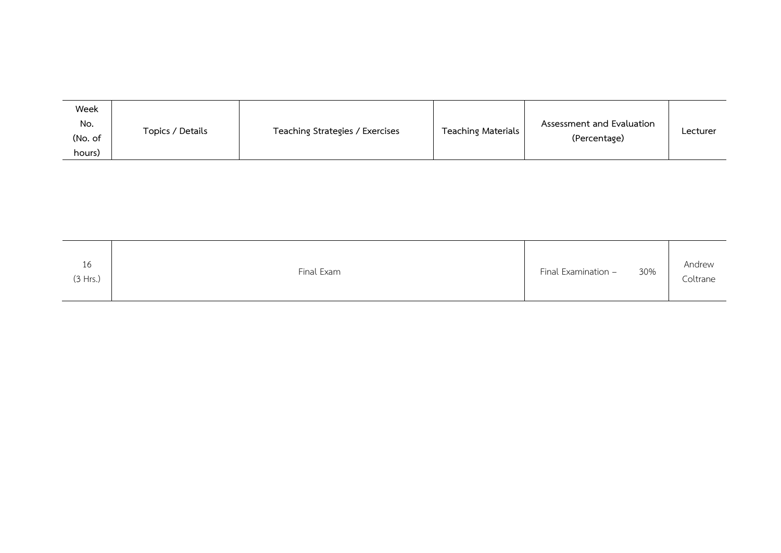| Week    |                  |                                 |                    |                           |          |
|---------|------------------|---------------------------------|--------------------|---------------------------|----------|
| No.     | Topics / Details |                                 |                    | Assessment and Evaluation |          |
| (No. of |                  | Teaching Strategies / Exercises | Teaching Materials | (Percentage)              | Lecturer |
| hours)  |                  |                                 |                    |                           |          |

| 16       | Final Exam | 30%                 | Andrew   |
|----------|------------|---------------------|----------|
| (3 Hrs.) |            | Final Examination - | Coltrane |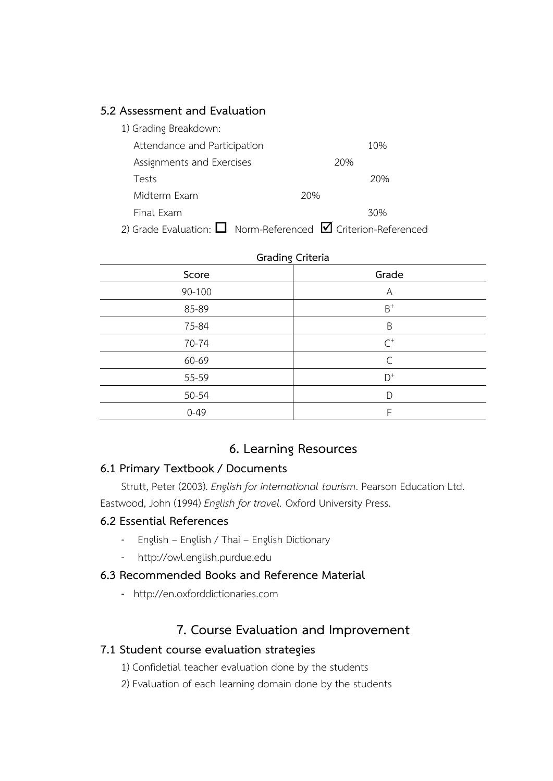## **5.2 Assessment and Evaluation**

| 1) Grading Breakdown:        |                                                                         |
|------------------------------|-------------------------------------------------------------------------|
| Attendance and Participation | 10%                                                                     |
| Assignments and Exercises    | 20%                                                                     |
| Tests                        | 20%                                                                     |
| Midterm Exam                 | 20%                                                                     |
| Final Exam                   | 30%                                                                     |
|                              | 2) Grade Evaluation: $\Box$ Norm-Referenced $\Box$ Criterion-Referenced |

**Grading Criteria Score Grade** 90-100 A 85-89 B  $B^+$ 75-84 B 70-74 C  $\mathcal{C}^+$ 60-69 C 55-59 D  $D^+$ 50-54 D 0-49 F

# **6. Learning Resources**

### **6.1 Primary Textbook / Documents**

Strutt, Peter (2003). *English for international tourism*. Pearson Education Ltd. Eastwood, John (1994) *English for travel.* Oxford University Press.

## **6.2 Essential References**

- English English / Thai English Dictionary
- http://owl.english.purdue.edu

# **6.3 Recommended Books and Reference Material**

- http://en.oxforddictionaries.com

# **7. Course Evaluation and Improvement**

# **7.1 Student course evaluation strategies**

- 1) Confidetial teacher evaluation done by the students
- 2) Evaluation of each learning domain done by the students